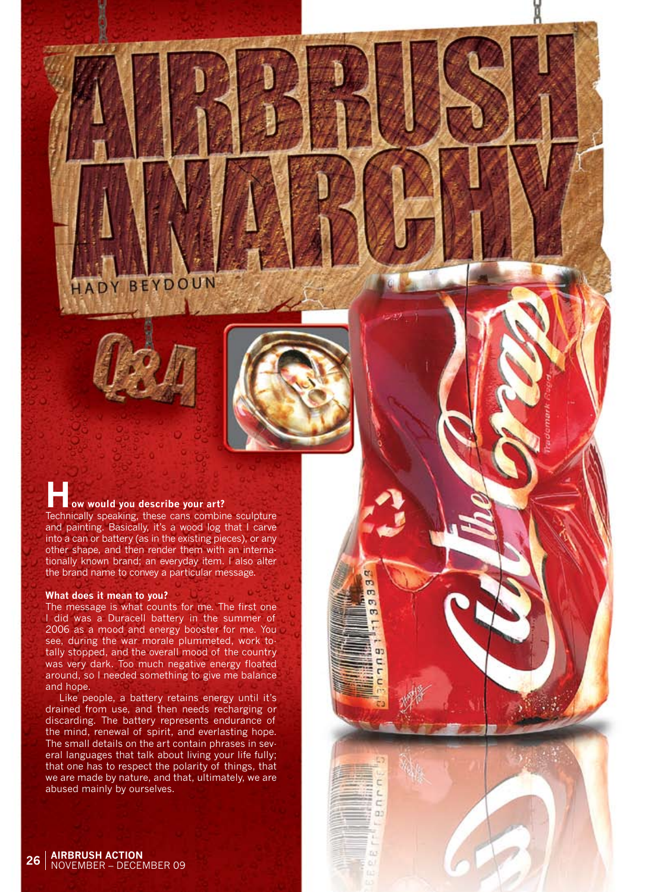HADY BEYDOUN



 $\alpha$ 

a.

# **How would you describe your art?**

Technically speaking, these cans combine sculpture and painting. Basically, it's a wood log that I carve into a can or battery (as in the existing pieces), or any other shape, and then render them with an internationally known brand; an everyday item. I also alter the brand name to convey a particular message.

## **What does it mean to you?**

The message is what counts for me. The first one I did was a Duracell battery in the summer of 2006 as a mood and energy booster for me. You see, during the war morale plummeted, work totally stopped, and the overall mood of the country was very dark. Too much negative energy floated around, so I needed something to give me balance and hope.

Like people, a battery retains energy until it's drained from use, and then needs recharging or discarding. The battery represents endurance of the mind, renewal of spirit, and everlasting hope. The small details on the art contain phrases in several languages that talk about living your life fully; that one has to respect the polarity of things, that we are made by nature, and that, ultimately, we are abused mainly by ourselves.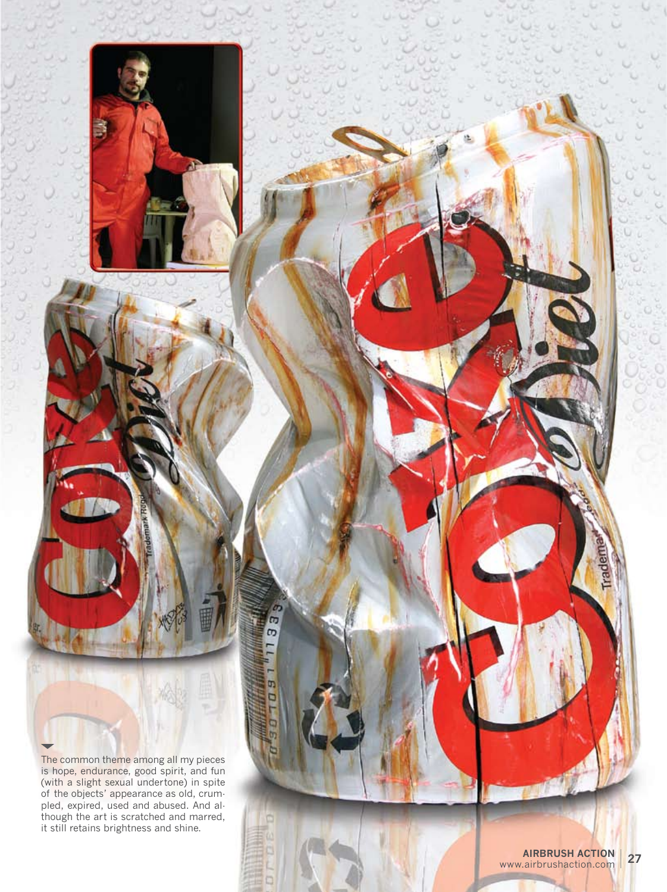

The common theme among all my pieces is hope, endurance, good spirit, and fun (with a slight sexual undertone) in spite of the objects' appearance as old, crum pled, expired, used and abused. And al though the art is scratched and marred, it still retains brightness and shine.

m  $\sigma$ 

> m D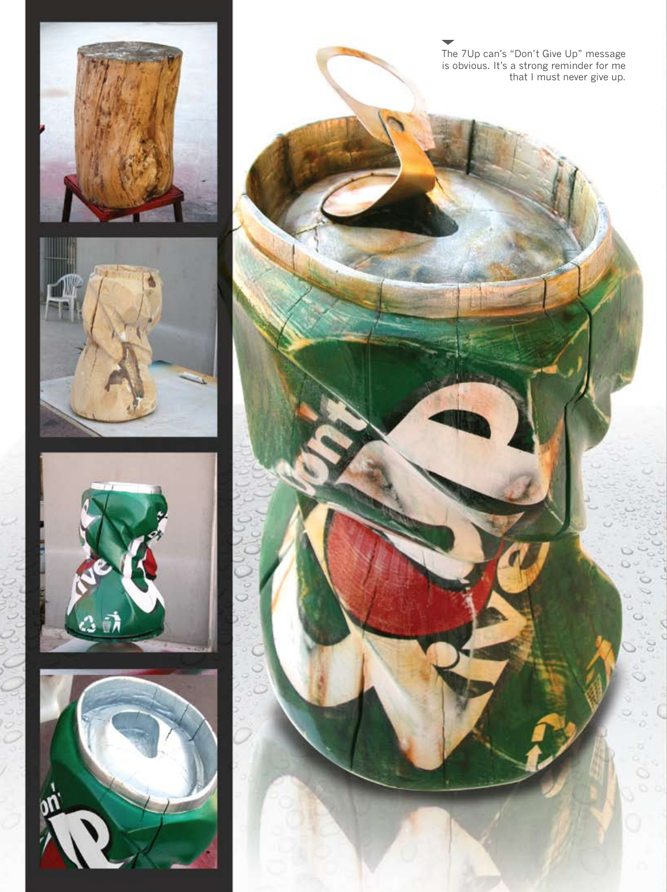







The 7Up can's "Don't Give Up" message is obvious. It's a strong reminder for me that I must never give up.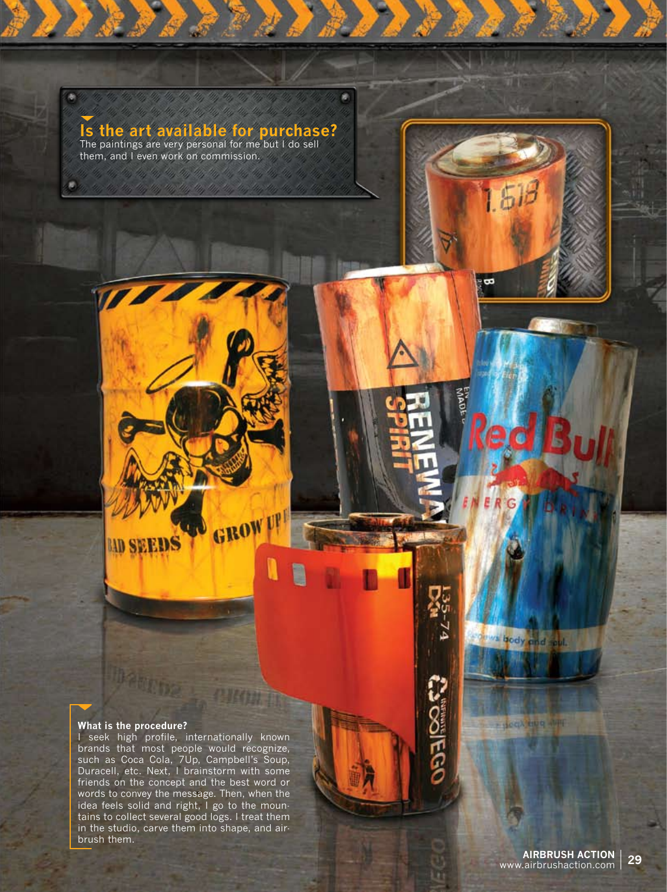

ø

 $1.5B$ 

 $\overline{\mathbf{z}}$ 

The paintings are very personal for me but I do sell them, and I even work on commission.

# **What is the procedure?**

**Debuty** 

**LID SEEDS** 

I seek high profile, internationally known brands that most people would recognize, such as Coca Cola, 7Up, Campbell's Soup, Duracell, etc. Next, I brainstorm with some friends on the concept and the best word or words to convey the message. Then, when the idea feels solid and right, I go to the mountains to collect several good logs. I treat them in the studio, carve them into shape, and airbrush them.

GROW

I

ws body and soul.

**Processing APPE** 

**CAGGIEGS**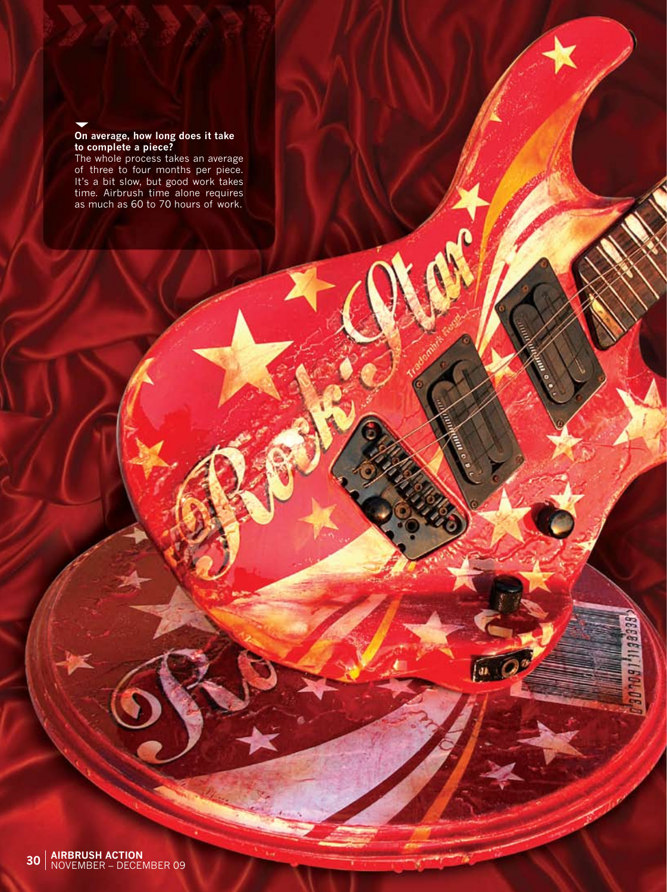# **On average, how long does it take to complete a piece?**

The whole process takes an average of three to four months per piece. It's a bit slow, but good work takes time. Airbrush time alone requires as much as 60 to 70 hours of work.

 $\sqrt{a}$